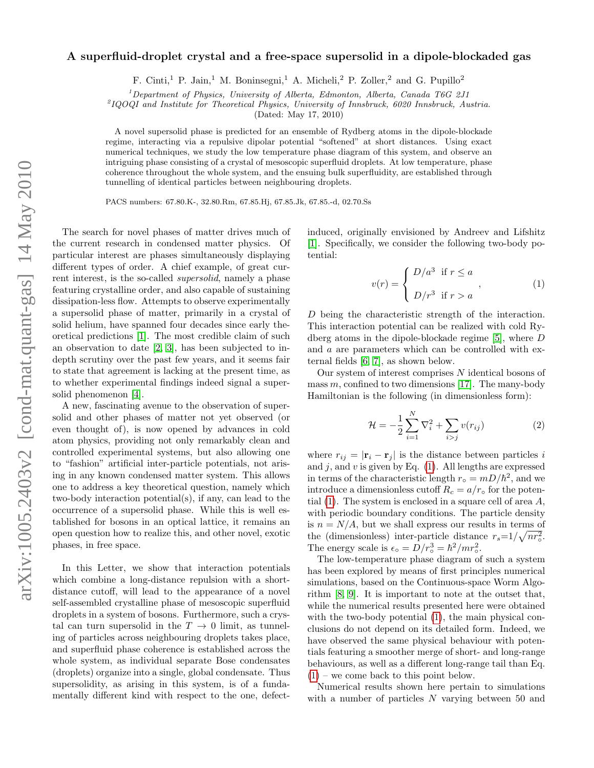## A superfluid-droplet crystal and a free-space supersolid in a dipole-blockaded gas

F. Cinti,<sup>1</sup> P. Jain,<sup>1</sup> M. Boninsegni,<sup>1</sup> A. Micheli,<sup>2</sup> P. Zoller,<sup>2</sup> and G. Pupillo<sup>2</sup>

<sup>1</sup>Department of Physics, University of Alberta, Edmonton, Alberta, Canada T6G 2J1

2 IQOQI and Institute for Theoretical Physics, University of Innsbruck, 6020 Innsbruck, Austria.

(Dated: May 17, 2010)

A novel supersolid phase is predicted for an ensemble of Rydberg atoms in the dipole-blockade regime, interacting via a repulsive dipolar potential "softened" at short distances. Using exact numerical techniques, we study the low temperature phase diagram of this system, and observe an intriguing phase consisting of a crystal of mesoscopic superfluid droplets. At low temperature, phase coherence throughout the whole system, and the ensuing bulk superfluidity, are established through tunnelling of identical particles between neighbouring droplets.

PACS numbers: 67.80.K-, 32.80.Rm, 67.85.Hj, 67.85.Jk, 67.85.-d, 02.70.Ss

The search for novel phases of matter drives much of the current research in condensed matter physics. Of particular interest are phases simultaneously displaying different types of order. A chief example, of great current interest, is the so-called supersolid, namely a phase featuring crystalline order, and also capable of sustaining dissipation-less flow. Attempts to observe experimentally a supersolid phase of matter, primarily in a crystal of solid helium, have spanned four decades since early theoretical predictions [\[1\]](#page-3-0). The most credible claim of such an observation to date [\[2,](#page-3-1) [3\]](#page-3-2), has been subjected to indepth scrutiny over the past few years, and it seems fair to state that agreement is lacking at the present time, as to whether experimental findings indeed signal a supersolid phenomenon [\[4\]](#page-3-3).

A new, fascinating avenue to the observation of supersolid and other phases of matter not yet observed (or even thought of), is now opened by advances in cold atom physics, providing not only remarkably clean and controlled experimental systems, but also allowing one to "fashion" artificial inter-particle potentials, not arising in any known condensed matter system. This allows one to address a key theoretical question, namely which two-body interaction potential(s), if any, can lead to the occurrence of a supersolid phase. While this is well established for bosons in an optical lattice, it remains an open question how to realize this, and other novel, exotic phases, in free space.

In this Letter, we show that interaction potentials which combine a long-distance repulsion with a shortdistance cutoff, will lead to the appearance of a novel self-assembled crystalline phase of mesoscopic superfluid droplets in a system of bosons. Furthermore, such a crystal can turn supersolid in the  $T \rightarrow 0$  limit, as tunneling of particles across neighbouring droplets takes place, and superfluid phase coherence is established across the whole system, as individual separate Bose condensates (droplets) organize into a single, global condensate. Thus supersolidity, as arising in this system, is of a fundamentally different kind with respect to the one, defectinduced, originally envisioned by Andreev and Lifshitz [\[1\]](#page-3-0). Specifically, we consider the following two-body potential:

<span id="page-0-0"></span>
$$
v(r) = \begin{cases} D/a^3 & \text{if } r \le a \\ D/r^3 & \text{if } r > a \end{cases}
$$
 (1)

D being the characteristic strength of the interaction. This interaction potential can be realized with cold Rydberg atoms in the dipole-blockade regime [\[5\]](#page-3-4), where D and a are parameters which can be controlled with external fields [\[6,](#page-3-5) [7\]](#page-3-6), as shown below.

Our system of interest comprises  $N$  identical bosons of mass  $m$ , confined to two dimensions [\[17\]](#page-3-7). The many-body Hamiltonian is the following (in dimensionless form):

<span id="page-0-1"></span>
$$
\mathcal{H} = -\frac{1}{2} \sum_{i=1}^{N} \nabla_i^2 + \sum_{i > j} v(r_{ij})
$$
 (2)

where  $r_{ij} = |\mathbf{r}_i - \mathbf{r}_j|$  is the distance between particles i and  $j$ , and  $v$  is given by Eq. [\(1\)](#page-0-0). All lengths are expressed in terms of the characteristic length  $r_{\circ} = mD/\hbar^2$ , and we introduce a dimensionless cutoff  $R_c = a/r_0$  for the potential  $(1)$ . The system is enclosed in a square cell of area  $A$ , with periodic boundary conditions. The particle density is  $n = N/A$ , but we shall express our results in terms of the (dimensionless) inter-particle distance  $r_s = 1/\sqrt{nr_o^2}$ . The energy scale is  $\epsilon_{\circ} = D/r_{\circ}^3 = \hbar^2/mr_{\circ}^2$ .

The low-temperature phase diagram of such a system has been explored by means of first principles numerical simulations, based on the Continuous-space Worm Algorithm [\[8,](#page-3-8) [9\]](#page-3-9). It is important to note at the outset that, while the numerical results presented here were obtained with the two-body potential  $(1)$ , the main physical conclusions do not depend on its detailed form. Indeed, we have observed the same physical behaviour with potentials featuring a smoother merge of short- and long-range behaviours, as well as a different long-range tail than Eq.  $(1)$  – we come back to this point below.

Numerical results shown here pertain to simulations with a number of particles N varying between 50 and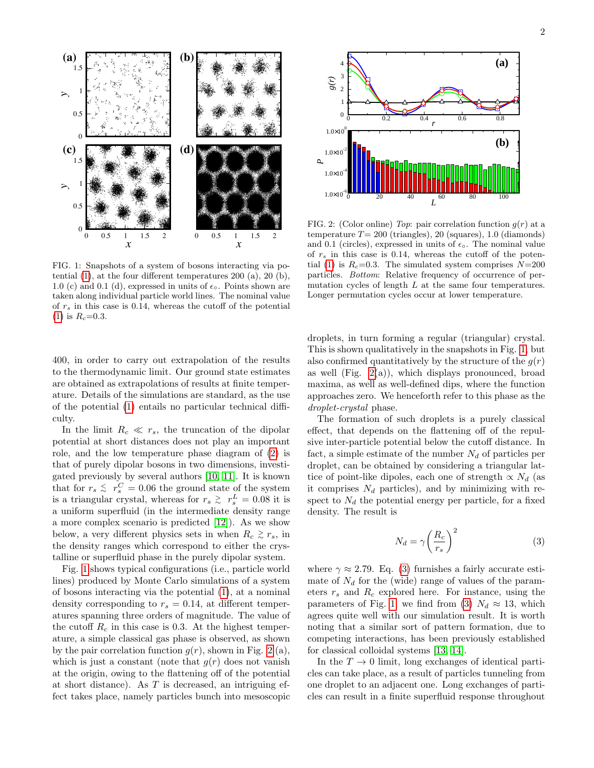

<span id="page-1-0"></span>FIG. 1: Snapshots of a system of bosons interacting via potential [\(1\)](#page-0-0), at the four different temperatures 200 (a), 20 (b), 1.0 (c) and 0.1 (d), expressed in units of  $\epsilon_{\circ}$ . Points shown are taken along individual particle world lines. The nominal value of  $r<sub>s</sub>$  in this case is 0.14, whereas the cutoff of the potential [\(1\)](#page-0-0) is  $R_c = 0.3$ .

400, in order to carry out extrapolation of the results to the thermodynamic limit. Our ground state estimates are obtained as extrapolations of results at finite temperature. Details of the simulations are standard, as the use of the potential [\(1\)](#page-0-0) entails no particular technical difficulty.

In the limit  $R_c \ll r_s$ , the truncation of the dipolar potential at short distances does not play an important role, and the low temperature phase diagram of [\(2\)](#page-0-1) is that of purely dipolar bosons in two dimensions, investigated previously by several authors [\[10,](#page-3-10) [11\]](#page-3-11). It is known that for  $r_s \leq r_s^C = 0.06$  the ground state of the system is a triangular crystal, whereas for  $r_s \geq r_s^L = 0.08$  it is a uniform superfluid (in the intermediate density range a more complex scenario is predicted [\[12\]](#page-3-12)). As we show below, a very different physics sets in when  $R_c \gtrsim r_s$ , in the density ranges which correspond to either the crystalline or superfluid phase in the purely dipolar system.

Fig. [1](#page-1-0) shows typical configurations (i.e., particle world lines) produced by Monte Carlo simulations of a system of bosons interacting via the potential [\(1\)](#page-0-0), at a nominal density corresponding to  $r_s = 0.14$ , at different temperatures spanning three orders of magnitude. The value of the cutoff  $R_c$  in this case is 0.3. At the highest temperature, a simple classical gas phase is observed, as shown by the pair correlation function  $q(r)$ , shown in Fig. [2](#page-1-1) (a), which is just a constant (note that  $g(r)$  does not vanish at the origin, owing to the flattening off of the potential at short distance). As T is decreased, an intriguing effect takes place, namely particles bunch into mesoscopic



<span id="page-1-1"></span>FIG. 2: (Color online) Top: pair correlation function  $g(r)$  at a temperature  $T= 200$  (triangles), 20 (squares), 1.0 (diamonds) and 0.1 (circles), expressed in units of  $\epsilon_{\circ}$ . The nominal value of  $r<sub>s</sub>$  in this case is 0.14, whereas the cutoff of the poten-tial [\(1\)](#page-0-0) is  $R_c$ =0.3. The simulated system comprises  $N=200$ particles. Bottom: Relative frequency of occurrence of permutation cycles of length L at the same four temperatures. Longer permutation cycles occur at lower temperature.

droplets, in turn forming a regular (triangular) crystal. This is shown qualitatively in the snapshots in Fig. [1,](#page-1-0) but also confirmed quantitatively by the structure of the  $q(r)$ as well (Fig.  $2(a)$ ), which displays pronounced, broad maxima, as well as well-defined dips, where the function approaches zero. We henceforth refer to this phase as the droplet-crystal phase.

The formation of such droplets is a purely classical effect, that depends on the flattening off of the repulsive inter-particle potential below the cutoff distance. In fact, a simple estimate of the number  $N_d$  of particles per droplet, can be obtained by considering a triangular lattice of point-like dipoles, each one of strength  $\propto N_d$  (as it comprises  $N_d$  particles), and by minimizing with respect to  $N_d$  the potential energy per particle, for a fixed density. The result is

<span id="page-1-2"></span>
$$
N_d = \gamma \left(\frac{R_c}{r_s}\right)^2 \tag{3}
$$

where  $\gamma \approx 2.79$ . Eq. [\(3\)](#page-1-2) furnishes a fairly accurate estimate of  $N_d$  for the (wide) range of values of the parameters  $r_s$  and  $R_c$  explored here. For instance, using the parameters of Fig. [1,](#page-1-0) we find from [\(3\)](#page-1-2)  $N_d \approx 13$ , which agrees quite well with our simulation result. It is worth noting that a similar sort of pattern formation, due to competing interactions, has been previously established for classical colloidal systems [\[13,](#page-3-13) [14\]](#page-3-14).

In the  $T \to 0$  limit, long exchanges of identical particles can take place, as a result of particles tunneling from one droplet to an adjacent one. Long exchanges of particles can result in a finite superfluid response throughout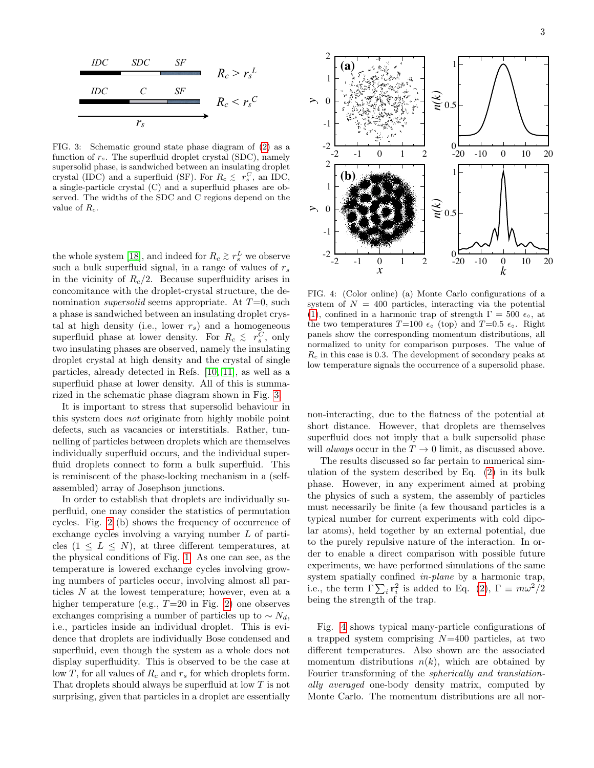

<span id="page-2-0"></span>FIG. 3: Schematic ground state phase diagram of [\(2\)](#page-0-1) as a function of  $r_s$ . The superfluid droplet crystal (SDC), namely supersolid phase, is sandwiched between an insulating droplet crystal (IDC) and a superfluid (SF). For  $R_c \leq r_s^C$ , an IDC, a single-particle crystal (C) and a superfluid phases are observed. The widths of the SDC and C regions depend on the value of  $R_c$ .

superfluid phase at lower density. For  $R_c \leq r_s^C$ , only the whole system [\[18\]](#page-3-15), and indeed for  $R_c \gtrsim r_s^L$  we observe such a bulk superfluid signal, in a range of values of  $r_s$ in the vicinity of  $R_c/2$ . Because superfluidity arises in concomitance with the droplet-crystal structure, the denomination *supersolid* seems appropriate. At  $T=0$ , such a phase is sandwiched between an insulating droplet crystal at high density (i.e., lower  $r_s$ ) and a homogeneous two insulating phases are observed, namely the insulating droplet crystal at high density and the crystal of single particles, already detected in Refs. [\[10,](#page-3-10) [11\]](#page-3-11), as well as a superfluid phase at lower density. All of this is summarized in the schematic phase diagram shown in Fig. [3.](#page-2-0)

It is important to stress that supersolid behaviour in this system does not originate from highly mobile point defects, such as vacancies or interstitials. Rather, tunnelling of particles between droplets which are themselves individually superfluid occurs, and the individual superfluid droplets connect to form a bulk superfluid. This is reminiscent of the phase-locking mechanism in a (selfassembled) array of Josephson junctions.

In order to establish that droplets are individually superfluid, one may consider the statistics of permutation cycles. Fig. [2](#page-1-1) (b) shows the frequency of occurrence of exchange cycles involving a varying number L of particles  $(1 \leq L \leq N)$ , at three different temperatures, at the physical conditions of Fig. [1.](#page-1-0) As one can see, as the temperature is lowered exchange cycles involving growing numbers of particles occur, involving almost all particles N at the lowest temperature; however, even at a higher temperature (e.g.,  $T=20$  in Fig. [2\)](#page-1-1) one observes exchanges comprising a number of particles up to  $\sim N_d$ , i.e., particles inside an individual droplet. This is evidence that droplets are individually Bose condensed and superfluid, even though the system as a whole does not display superfluidity. This is observed to be the case at low T, for all values of  $R_c$  and  $r_s$  for which droplets form. That droplets should always be superfluid at low T is not surprising, given that particles in a droplet are essentially



<span id="page-2-1"></span>FIG. 4: (Color online) (a) Monte Carlo configurations of a system of  $N = 400$  particles, interacting via the potential [\(1\)](#page-0-0), confined in a harmonic trap of strength  $\Gamma = 500 \epsilon_{\circ}$ , at the two temperatures  $T=100 \epsilon_0$  (top) and  $T=0.5 \epsilon_0$ . Right panels show the corresponding momentum distributions, all normalized to unity for comparison purposes. The value of  $R_c$  in this case is 0.3. The development of secondary peaks at low temperature signals the occurrence of a supersolid phase.

non-interacting, due to the flatness of the potential at short distance. However, that droplets are themselves superfluid does not imply that a bulk supersolid phase will *always* occur in the  $T \to 0$  limit, as discussed above.

The results discussed so far pertain to numerical simulation of the system described by Eq. [\(2\)](#page-0-1) in its bulk phase. However, in any experiment aimed at probing the physics of such a system, the assembly of particles must necessarily be finite (a few thousand particles is a typical number for current experiments with cold dipolar atoms), held together by an external potential, due to the purely repulsive nature of the interaction. In order to enable a direct comparison with possible future experiments, we have performed simulations of the same system spatially confined in-plane by a harmonic trap, i.e., the term  $\Gamma \sum_i \mathbf{r}_i^2$  is added to Eq. [\(2\)](#page-0-1),  $\Gamma \equiv m\omega^2/2$ being the strength of the trap.

Fig. [4](#page-2-1) shows typical many-particle configurations of a trapped system comprising  $N=400$  particles, at two different temperatures. Also shown are the associated momentum distributions  $n(k)$ , which are obtained by Fourier transforming of the spherically and translationally averaged one-body density matrix, computed by Monte Carlo. The momentum distributions are all nor